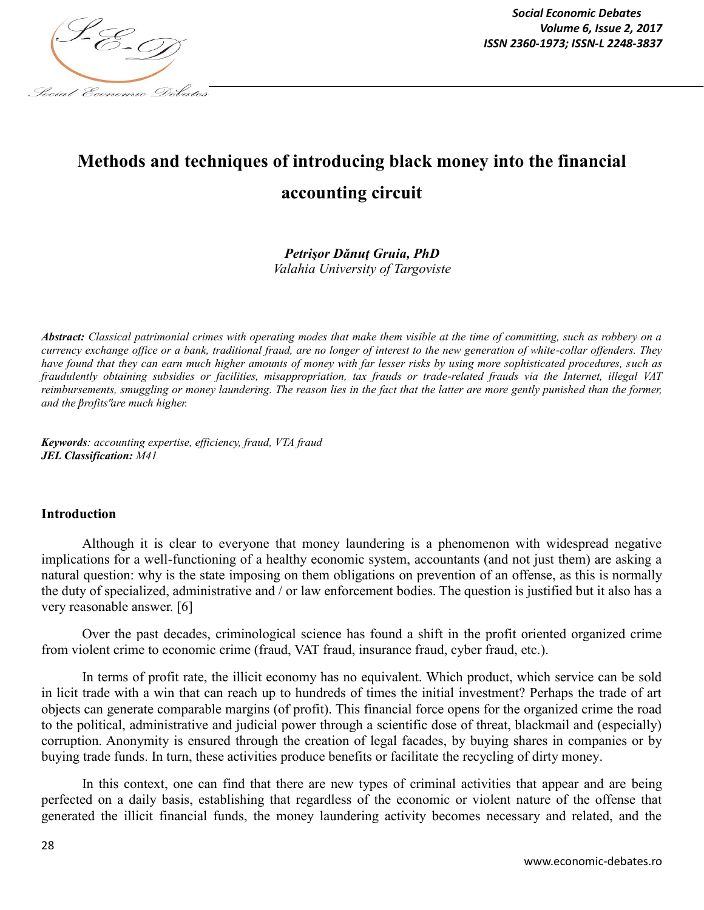

# **Methods and techniques of introducing black money into the financial accounting circuit**

## *Petrişor Dănuţ Gruia, PhD Valahia University of Targoviste*

*Abstract: Classical patrimonial crimes with operating modes that make them visible at the time of committing, such as robbery on a currency exchange office or a bank, traditional fraud, are no longer of interest to the new generation of white-collar offenders. They have found that they can earn much higher amounts of money with far lesser risks by using more sophisticated procedures, such as fraudulently obtaining subsidies or facilities, misappropriation, tax frauds or trade-related frauds via the Internet, illegal VAT reimbursements, smuggling or money laundering. The reason lies in the fact that the latter are more gently punished than the former, and the "profits" are much higher.* 

*Keywords: accounting expertise, efficiency, fraud, VTA fraud JEL Classification: M41*

## **Introduction**

Although it is clear to everyone that money laundering is a phenomenon with widespread negative implications for a well-functioning of a healthy economic system, accountants (and not just them) are asking a natural question: why is the state imposing on them obligations on prevention of an offense, as this is normally the duty of specialized, administrative and / or law enforcement bodies. The question is justified but it also has a very reasonable answer. [6]

Over the past decades, criminological science has found a shift in the profit oriented organized crime from violent crime to economic crime (fraud, VAT fraud, insurance fraud, cyber fraud, etc.).

In terms of profit rate, the illicit economy has no equivalent. Which product, which service can be sold in licit trade with a win that can reach up to hundreds of times the initial investment? Perhaps the trade of art objects can generate comparable margins (of profit). This financial force opens for the organized crime the road to the political, administrative and judicial power through a scientific dose of threat, blackmail and (especially) corruption. Anonymity is ensured through the creation of legal facades, by buying shares in companies or by buying trade funds. In turn, these activities produce benefits or facilitate the recycling of dirty money.

In this context, one can find that there are new types of criminal activities that appear and are being perfected on a daily basis, establishing that regardless of the economic or violent nature of the offense that generated the illicit financial funds, the money laundering activity becomes necessary and related, and the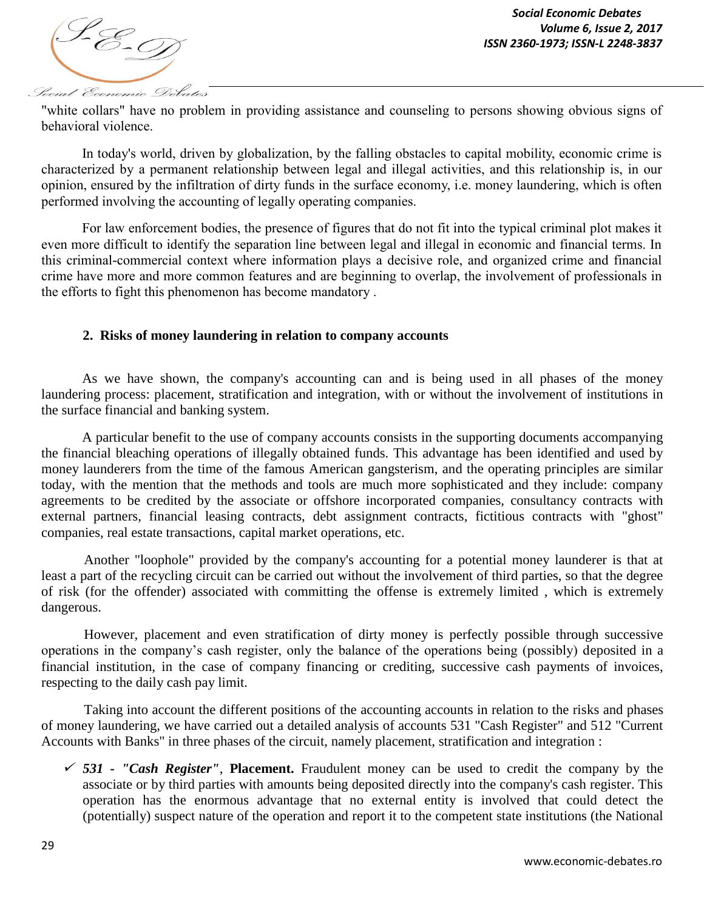

"white collars" have no problem in providing assistance and counseling to persons showing obvious signs of behavioral violence.

In today's world, driven by globalization, by the falling obstacles to capital mobility, economic crime is characterized by a permanent relationship between legal and illegal activities, and this relationship is, in our opinion, ensured by the infiltration of dirty funds in the surface economy, i.e. money laundering, which is often performed involving the accounting of legally operating companies.

For law enforcement bodies, the presence of figures that do not fit into the typical criminal plot makes it even more difficult to identify the separation line between legal and illegal in economic and financial terms. In this criminal-commercial context where information plays a decisive role, and organized crime and financial crime have more and more common features and are beginning to overlap, the involvement of professionals in the efforts to fight this phenomenon has become mandatory .

## **2. Risks of money laundering in relation to company accounts**

As we have shown, the company's accounting can and is being used in all phases of the money laundering process: placement, stratification and integration, with or without the involvement of institutions in the surface financial and banking system.

A particular benefit to the use of company accounts consists in the supporting documents accompanying the financial bleaching operations of illegally obtained funds. This advantage has been identified and used by money launderers from the time of the famous American gangsterism, and the operating principles are similar today, with the mention that the methods and tools are much more sophisticated and they include: company agreements to be credited by the associate or offshore incorporated companies, consultancy contracts with external partners, financial leasing contracts, debt assignment contracts, fictitious contracts with "ghost" companies, real estate transactions, capital market operations, etc.

Another "loophole" provided by the company's accounting for a potential money launderer is that at least a part of the recycling circuit can be carried out without the involvement of third parties, so that the degree of risk (for the offender) associated with committing the offense is extremely limited , which is extremely dangerous.

However, placement and even stratification of dirty money is perfectly possible through successive operations in the company's cash register, only the balance of the operations being (possibly) deposited in a financial institution, in the case of company financing or crediting, successive cash payments of invoices, respecting to the daily cash pay limit.

Taking into account the different positions of the accounting accounts in relation to the risks and phases of money laundering, we have carried out a detailed analysis of accounts 531 "Cash Register" and 512 "Current Accounts with Banks" in three phases of the circuit, namely placement, stratification and integration :

 $\check{\phantom{1}}$  531 - *"Cash Register"*, Placement. Fraudulent money can be used to credit the company by the associate or by third parties with amounts being deposited directly into the company's cash register. This operation has the enormous advantage that no external entity is involved that could detect the (potentially) suspect nature of the operation and report it to the competent state institutions (the National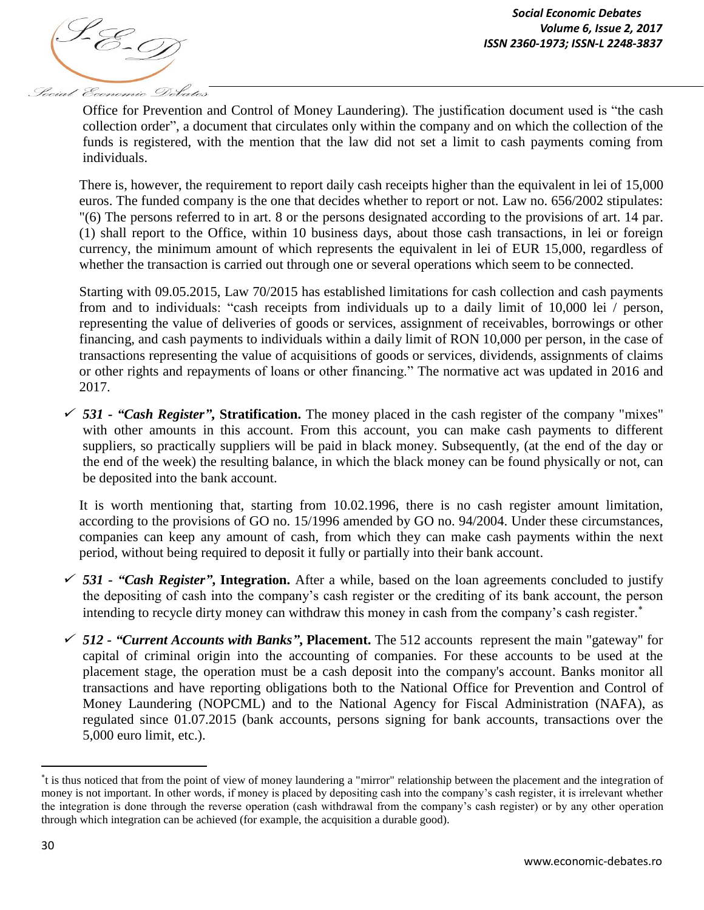

Office for Prevention and Control of Money Laundering). The justification document used is "the cash collection order", a document that circulates only within the company and on which the collection of the funds is registered, with the mention that the law did not set a limit to cash payments coming from individuals.

There is, however, the requirement to report daily cash receipts higher than the equivalent in lei of 15,000 euros. The funded company is the one that decides whether to report or not. Law no. 656/2002 stipulates: "(6) The persons referred to in art. 8 or the persons designated according to the provisions of art. 14 par. (1) shall report to the Office, within 10 business days, about those cash transactions, in lei or foreign currency, the minimum amount of which represents the equivalent in lei of EUR 15,000, regardless of whether the transaction is carried out through one or several operations which seem to be connected.

Starting with 09.05.2015, Law 70/2015 has established limitations for cash collection and cash payments from and to individuals: "cash receipts from individuals up to a daily limit of 10,000 lei / person, representing the value of deliveries of goods or services, assignment of receivables, borrowings or other financing, and cash payments to individuals within a daily limit of RON 10,000 per person, in the case of transactions representing the value of acquisitions of goods or services, dividends, assignments of claims or other rights and repayments of loans or other financing." The normative act was updated in 2016 and 2017.

 *531 - "Cash Register"***, Stratification.** The money placed in the cash register of the company "mixes" with other amounts in this account. From this account, you can make cash payments to different suppliers, so practically suppliers will be paid in black money. Subsequently, (at the end of the day or the end of the week) the resulting balance, in which the black money can be found physically or not, can be deposited into the bank account.

It is worth mentioning that, starting from 10.02.1996, there is no cash register amount limitation, according to the provisions of GO no. 15/1996 amended by GO no. 94/2004. Under these circumstances, companies can keep any amount of cash, from which they can make cash payments within the next period, without being required to deposit it fully or partially into their bank account.

- *531 - "Cash Register"***, Integration.** After a while, based on the loan agreements concluded to justify the depositing of cash into the company's cash register or the crediting of its bank account, the person intending to recycle dirty money can withdraw this money in cash from the company's cash register.
- *512 - "Current Accounts with Banks"***, Placement.** The 512 accounts represent the main "gateway" for capital of criminal origin into the accounting of companies. For these accounts to be used at the placement stage, the operation must be a cash deposit into the company's account. Banks monitor all transactions and have reporting obligations both to the National Office for Prevention and Control of Money Laundering (NOPCML) and to the National Agency for Fiscal Administration (NAFA), as regulated since 01.07.2015 (bank accounts, persons signing for bank accounts, transactions over the 5,000 euro limit, etc.).

l

t is thus noticed that from the point of view of money laundering a "mirror" relationship between the placement and the integration of money is not important. In other words, if money is placed by depositing cash into the company's cash register, it is irrelevant whether the integration is done through the reverse operation (cash withdrawal from the company's cash register) or by any other operation through which integration can be achieved (for example, the acquisition a durable good).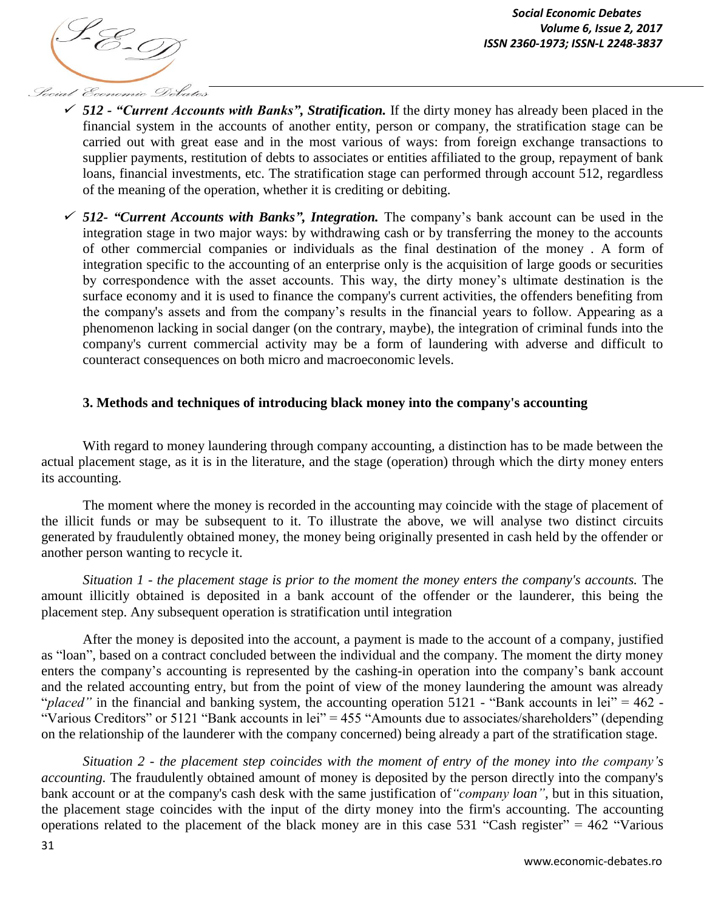

- *512 - "Current Accounts with Banks", Stratification.* If the dirty money has already been placed in the financial system in the accounts of another entity, person or company, the stratification stage can be carried out with great ease and in the most various of ways: from foreign exchange transactions to supplier payments, restitution of debts to associates or entities affiliated to the group, repayment of bank loans, financial investments, etc. The stratification stage can performed through account 512, regardless of the meaning of the operation, whether it is crediting or debiting.
- *512- "Current Accounts with Banks", Integration.* The company's bank account can be used in the integration stage in two major ways: by withdrawing cash or by transferring the money to the accounts of other commercial companies or individuals as the final destination of the money . A form of integration specific to the accounting of an enterprise only is the acquisition of large goods or securities by correspondence with the asset accounts. This way, the dirty money's ultimate destination is the surface economy and it is used to finance the company's current activities, the offenders benefiting from the company's assets and from the company's results in the financial years to follow. Appearing as a phenomenon lacking in social danger (on the contrary, maybe), the integration of criminal funds into the company's current commercial activity may be a form of laundering with adverse and difficult to counteract consequences on both micro and macroeconomic levels.

## **3. Methods and techniques of introducing black money into the company's accounting**

With regard to money laundering through company accounting, a distinction has to be made between the actual placement stage, as it is in the literature, and the stage (operation) through which the dirty money enters its accounting.

The moment where the money is recorded in the accounting may coincide with the stage of placement of the illicit funds or may be subsequent to it. To illustrate the above, we will analyse two distinct circuits generated by fraudulently obtained money, the money being originally presented in cash held by the offender or another person wanting to recycle it.

*Situation 1 - the placement stage is prior to the moment the money enters the company's accounts.* The amount illicitly obtained is deposited in a bank account of the offender or the launderer, this being the placement step. Any subsequent operation is stratification until integration

After the money is deposited into the account, a payment is made to the account of a company, justified as "loan", based on a contract concluded between the individual and the company. The moment the dirty money enters the company's accounting is represented by the cashing-in operation into the company's bank account and the related accounting entry, but from the point of view of the money laundering the amount was already "*placed*" in the financial and banking system, the accounting operation 5121 - "Bank accounts in lei" = 462 -"Various Creditors" or 5121 "Bank accounts in lei" = 455 "Amounts due to associates/shareholders" (depending on the relationship of the launderer with the company concerned) being already a part of the stratification stage*.*

*Situation 2 - the placement step coincides with the moment of entry of the money into the company's accounting.* The fraudulently obtained amount of money is deposited by the person directly into the company's bank account or at the company's cash desk with the same justification of*"company loan"*, but in this situation, the placement stage coincides with the input of the dirty money into the firm's accounting. The accounting operations related to the placement of the black money are in this case 531 "Cash register" =  $462$  "Various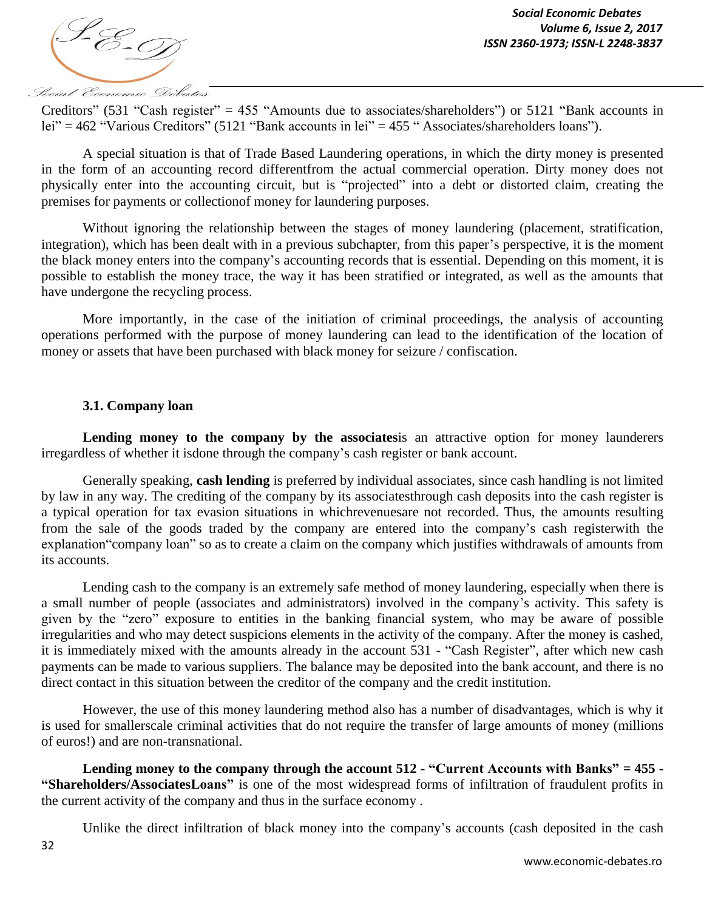

Creditors" (531 "Cash register" = 455 "Amounts due to associates/shareholders") or 5121 "Bank accounts in lei" = 462 "Various Creditors" (5121 "Bank accounts in lei" = 455 " Associates/shareholders loans").

A special situation is that of Trade Based Laundering operations, in which the dirty money is presented in the form of an accounting record differentfrom the actual commercial operation. Dirty money does not physically enter into the accounting circuit, but is "projected" into a debt or distorted claim, creating the premises for payments or collectionof money for laundering purposes.

Without ignoring the relationship between the stages of money laundering (placement, stratification, integration), which has been dealt with in a previous subchapter, from this paper's perspective, it is the moment the black money enters into the company's accounting records that is essential. Depending on this moment, it is possible to establish the money trace, the way it has been stratified or integrated, as well as the amounts that have undergone the recycling process.

More importantly, in the case of the initiation of criminal proceedings, the analysis of accounting operations performed with the purpose of money laundering can lead to the identification of the location of money or assets that have been purchased with black money for seizure / confiscation.

## **3.1. Company loan**

Lending money to the company by the associatesis an attractive option for money launderers irregardless of whether it isdone through the company's cash register or bank account.

Generally speaking, **cash lending** is preferred by individual associates, since cash handling is not limited by law in any way. The crediting of the company by its associatesthrough cash deposits into the cash register is a typical operation for tax evasion situations in whichrevenuesare not recorded. Thus, the amounts resulting from the sale of the goods traded by the company are entered into the company's cash registerwith the explanation"company loan" so as to create a claim on the company which justifies withdrawals of amounts from its accounts.

Lending cash to the company is an extremely safe method of money laundering, especially when there is a small number of people (associates and administrators) involved in the company's activity. This safety is given by the "zero" exposure to entities in the banking financial system, who may be aware of possible irregularities and who may detect suspicions elements in the activity of the company. After the money is cashed, it is immediately mixed with the amounts already in the account 531 - "Cash Register", after which new cash payments can be made to various suppliers. The balance may be deposited into the bank account, and there is no direct contact in this situation between the creditor of the company and the credit institution.

However, the use of this money laundering method also has a number of disadvantages, which is why it is used for smallerscale criminal activities that do not require the transfer of large amounts of money (millions of euros!) and are non-transnational.

**Lending money to the company through the account 512 - "Current Accounts with Banks" = 455 - "Shareholders/AssociatesLoans"** is one of the most widespread forms of infiltration of fraudulent profits in the current activity of the company and thus in the surface economy .

Unlike the direct infiltration of black money into the company's accounts (cash deposited in the cash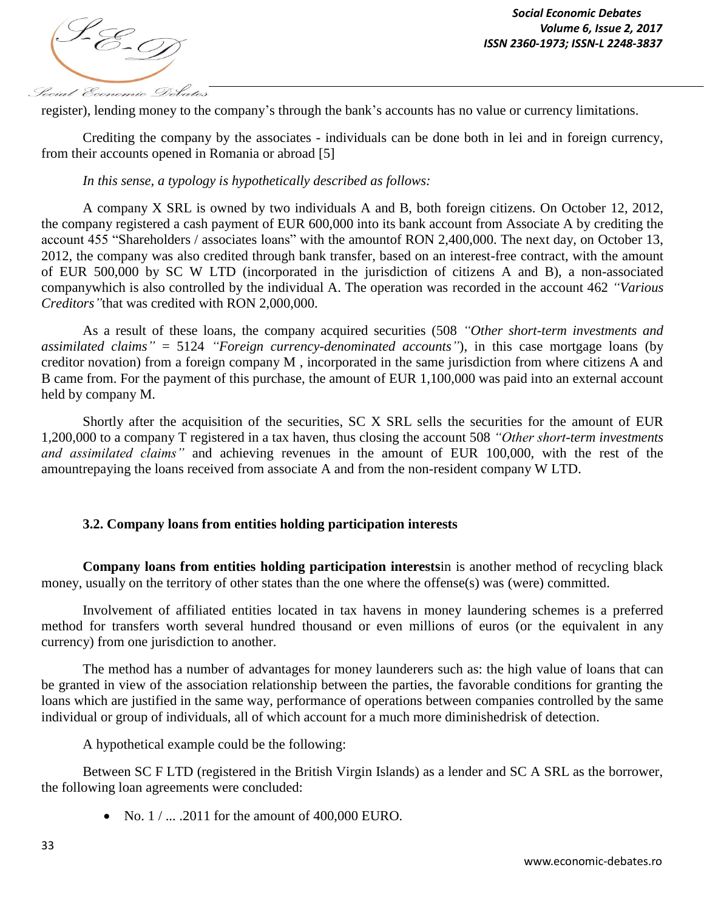

register), lending money to the company's through the bank's accounts has no value or currency limitations.

Crediting the company by the associates - individuals can be done both in lei and in foreign currency, from their accounts opened in Romania or abroad [5]

*In this sense, a typology is hypothetically described as follows:*

A company X SRL is owned by two individuals A and B, both foreign citizens. On October 12, 2012, the company registered a cash payment of EUR 600,000 into its bank account from Associate A by crediting the account 455 "Shareholders / associates loans" with the amountof RON 2,400,000. The next day, on October 13, 2012, the company was also credited through bank transfer, based on an interest-free contract, with the amount of EUR 500,000 by SC W LTD (incorporated in the jurisdiction of citizens A and B), a non-associated companywhich is also controlled by the individual A. The operation was recorded in the account 462 *"Various Creditors"*that was credited with RON 2,000,000.

As a result of these loans, the company acquired securities (508 *"Other short-term investments and assimilated claims"* = 5124 *"Foreign currency-denominated accounts"*), in this case mortgage loans (by creditor novation) from a foreign company M , incorporated in the same jurisdiction from where citizens A and B came from. For the payment of this purchase, the amount of EUR 1,100,000 was paid into an external account held by company M.

Shortly after the acquisition of the securities, SC X SRL sells the securities for the amount of EUR 1,200,000 to a company T registered in a tax haven, thus closing the account 508 *"Other short-term investments and assimilated claims"* and achieving revenues in the amount of EUR 100,000, with the rest of the amountrepaying the loans received from associate A and from the non-resident company W LTD.

## **3.2. Company loans from entities holding participation interests**

**Company loans from entities holding participation interests**in is another method of recycling black money, usually on the territory of other states than the one where the offense(s) was (were) committed.

Involvement of affiliated entities located in tax havens in money laundering schemes is a preferred method for transfers worth several hundred thousand or even millions of euros (or the equivalent in any currency) from one jurisdiction to another.

The method has a number of advantages for money launderers such as: the high value of loans that can be granted in view of the association relationship between the parties, the favorable conditions for granting the loans which are justified in the same way, performance of operations between companies controlled by the same individual or group of individuals, all of which account for a much more diminishedrisk of detection.

A hypothetical example could be the following:

Between SC F LTD (registered in the British Virgin Islands) as a lender and SC A SRL as the borrower, the following loan agreements were concluded:

• No.  $1 / ... .2011$  for the amount of 400,000 EURO.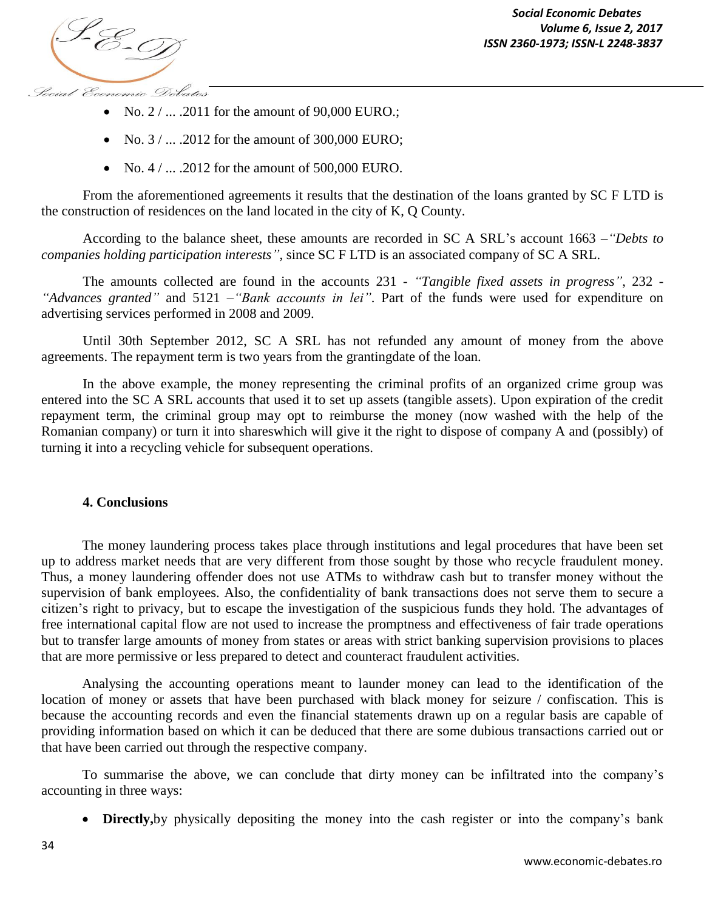*ISSN 2360-1973; ISSN-L 2248-3837*

- No.  $2 / ... .2011$  for the amount of 90,000 EURO.;
- No.  $3 / ... 2012$  for the amount of 300,000 EURO;
- No.  $4 / ...$  .2012 for the amount of 500,000 EURO.

From the aforementioned agreements it results that the destination of the loans granted by SC F LTD is the construction of residences on the land located in the city of K, Q County.

According to the balance sheet, these amounts are recorded in SC A SRL's account 1663 –*"Debts to companies holding participation interests"*, since SC F LTD is an associated company of SC A SRL.

The amounts collected are found in the accounts 231 - *"Tangible fixed assets in progress"*, 232 - *"Advances granted"* and 5121 –*"Bank accounts in lei"*. Part of the funds were used for expenditure on advertising services performed in 2008 and 2009.

Until 30th September 2012, SC A SRL has not refunded any amount of money from the above agreements. The repayment term is two years from the grantingdate of the loan.

In the above example, the money representing the criminal profits of an organized crime group was entered into the SC A SRL accounts that used it to set up assets (tangible assets). Upon expiration of the credit repayment term, the criminal group may opt to reimburse the money (now washed with the help of the Romanian company) or turn it into shareswhich will give it the right to dispose of company A and (possibly) of turning it into a recycling vehicle for subsequent operations.

## **4. Conclusions**

The money laundering process takes place through institutions and legal procedures that have been set up to address market needs that are very different from those sought by those who recycle fraudulent money. Thus, a money laundering offender does not use ATMs to withdraw cash but to transfer money without the supervision of bank employees. Also, the confidentiality of bank transactions does not serve them to secure a citizen's right to privacy, but to escape the investigation of the suspicious funds they hold. The advantages of free international capital flow are not used to increase the promptness and effectiveness of fair trade operations but to transfer large amounts of money from states or areas with strict banking supervision provisions to places that are more permissive or less prepared to detect and counteract fraudulent activities.

Analysing the accounting operations meant to launder money can lead to the identification of the location of money or assets that have been purchased with black money for seizure / confiscation. This is because the accounting records and even the financial statements drawn up on a regular basis are capable of providing information based on which it can be deduced that there are some dubious transactions carried out or that have been carried out through the respective company.

To summarise the above, we can conclude that dirty money can be infiltrated into the company's accounting in three ways:

**Directly,**by physically depositing the money into the cash register or into the company's bank